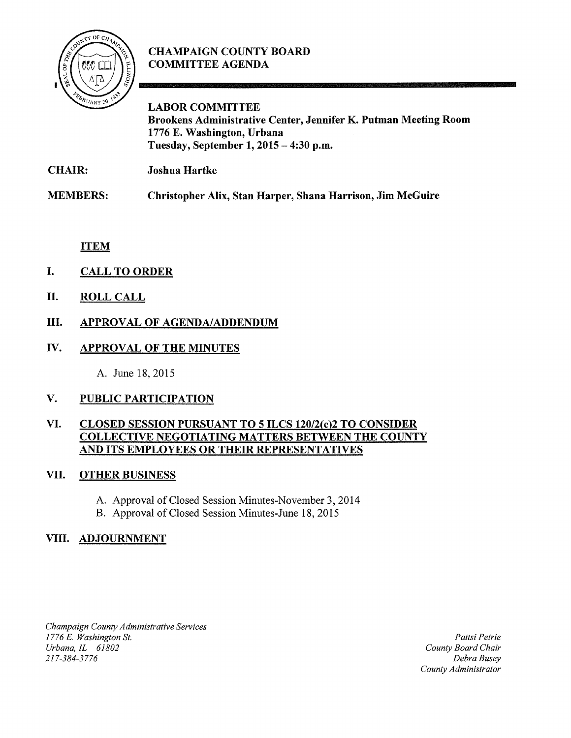

# CHAMPAIGN COUNTY BOARD COMMITTEE AGENDA

LABOR COMMITTEE Brookens Administrative Center, Jennifer K. Putman Meeting Room 1776 E. Washington, Urbana Tuesday, September 1,  $2015 - 4:30$  p.m.

CHAIR: Joshua Hartke

MEMBERS: Christopher Alix, Stan Harper, Shana Harrison, Jim McGuire

ITEM

- I. CALL TO ORDER
- II. ROLL CALL

# III. APPROVAL OF AGENDA/ADDENDUM

### IV. APPROVAL OF THE MINUTES

A. June 18, 2015

### V. PUBLIC PARTICIPATION

#### VI. CLOSED SESSION PURSUANT TO 5 ILCS 120/2{c)2 TO CONSIDER COLLECTIVE NEGOTIATING MATTERS BETWEEN THE COUNTY AND ITS EMPLOYEES OR THEIR REPRESENTATIVES

### VII. OTHER BUSINESS

- A. Approval of Closed Session Minutes-November 3, 2014
- B. Approval of Closed Session Minutes-June 18, 2015

### VIII. ADJOURNMENT

*Champaign County Administrative Services 1776* E. *Washington St.*  Urbana, *IL* 61802 *217-384-3776* 

*Pattsi Petrie County Board Chair Debra Busey County Administrator*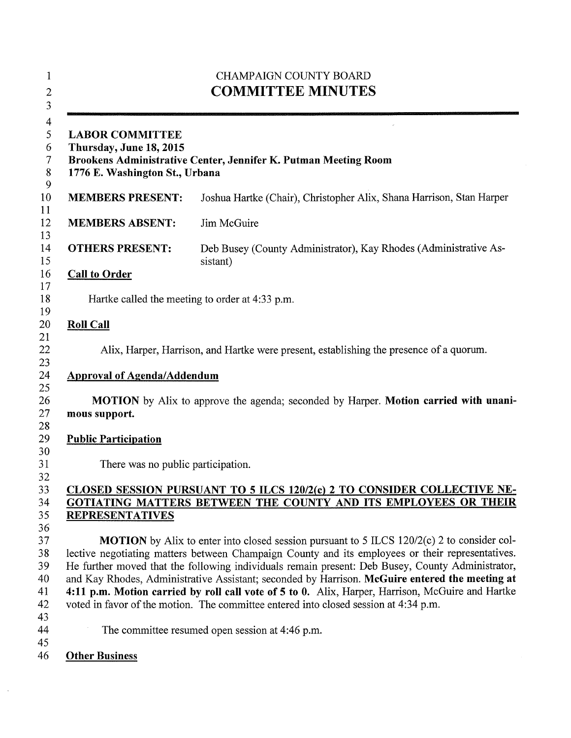|                                                                                                                                                        | <b>CHAMPAIGN COUNTY BOARD</b><br><b>COMMITTEE MINUTES</b>                                                                                                                                                                                                                                                                                                                                                   |
|--------------------------------------------------------------------------------------------------------------------------------------------------------|-------------------------------------------------------------------------------------------------------------------------------------------------------------------------------------------------------------------------------------------------------------------------------------------------------------------------------------------------------------------------------------------------------------|
| <b>LABOR COMMITTEE</b><br>Thursday, June 18, 2015<br>Brookens Administrative Center, Jennifer K. Putman Meeting Room<br>1776 E. Washington St., Urbana |                                                                                                                                                                                                                                                                                                                                                                                                             |
| <b>MEMBERS PRESENT:</b>                                                                                                                                | Joshua Hartke (Chair), Christopher Alix, Shana Harrison, Stan Harper                                                                                                                                                                                                                                                                                                                                        |
| <b>MEMBERS ABSENT:</b>                                                                                                                                 | Jim McGuire                                                                                                                                                                                                                                                                                                                                                                                                 |
| <b>OTHERS PRESENT:</b>                                                                                                                                 | Deb Busey (County Administrator), Kay Rhodes (Administrative As-<br>sistant)                                                                                                                                                                                                                                                                                                                                |
| <b>Call to Order</b>                                                                                                                                   |                                                                                                                                                                                                                                                                                                                                                                                                             |
|                                                                                                                                                        | Hartke called the meeting to order at 4:33 p.m.                                                                                                                                                                                                                                                                                                                                                             |
| <b>Roll Call</b>                                                                                                                                       |                                                                                                                                                                                                                                                                                                                                                                                                             |
|                                                                                                                                                        | Alix, Harper, Harrison, and Hartke were present, establishing the presence of a quorum.                                                                                                                                                                                                                                                                                                                     |
| <b>Approval of Agenda/Addendum</b>                                                                                                                     |                                                                                                                                                                                                                                                                                                                                                                                                             |
| mous support.                                                                                                                                          | <b>MOTION</b> by Alix to approve the agenda; seconded by Harper. <b>Motion carried with unani-</b>                                                                                                                                                                                                                                                                                                          |
| <b>Public Participation</b>                                                                                                                            |                                                                                                                                                                                                                                                                                                                                                                                                             |
| There was no public participation.                                                                                                                     |                                                                                                                                                                                                                                                                                                                                                                                                             |
|                                                                                                                                                        |                                                                                                                                                                                                                                                                                                                                                                                                             |
|                                                                                                                                                        | CLOSED SESSION PURSUANT TO 5 ILCS 120/2(c) 2 TO CONSIDER COLLECTIVE NE-<br>GOTIATING MATTERS BETWEEN THE COUNTY AND ITS EMPLOYEES OR THEIR                                                                                                                                                                                                                                                                  |
| <b>REPRESENTATIVES</b>                                                                                                                                 |                                                                                                                                                                                                                                                                                                                                                                                                             |
|                                                                                                                                                        | <b>MOTION</b> by Alix to enter into closed session pursuant to 5 ILCS 120/2(c) 2 to consider col-<br>lective negotiating matters between Champaign County and its employees or their representatives.<br>He further moved that the following individuals remain present: Deb Busey, County Administrator,<br>and Kay Rhodes, Administrative Assistant; seconded by Harrison. McGuire entered the meeting at |
|                                                                                                                                                        | 4:11 p.m. Motion carried by roll call vote of 5 to 0. Alix, Harper, Harrison, McGuire and Hartke<br>voted in favor of the motion. The committee entered into closed session at 4:34 p.m.                                                                                                                                                                                                                    |
|                                                                                                                                                        | The committee resumed open session at 4:46 p.m.                                                                                                                                                                                                                                                                                                                                                             |
| <b>Other Business</b>                                                                                                                                  |                                                                                                                                                                                                                                                                                                                                                                                                             |

 $\sim$